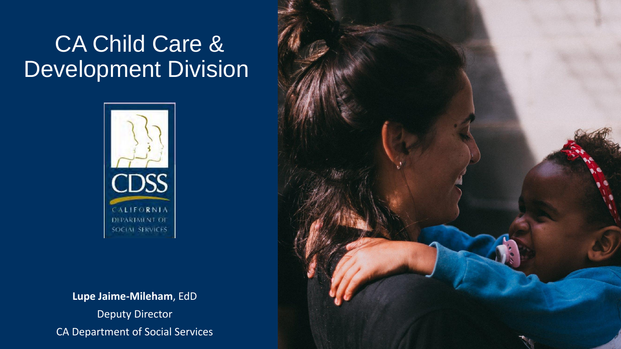### CA Child Care & Development Division



**Lupe Jaime-Mileham**, EdD Deputy Director CA Department of Social Services

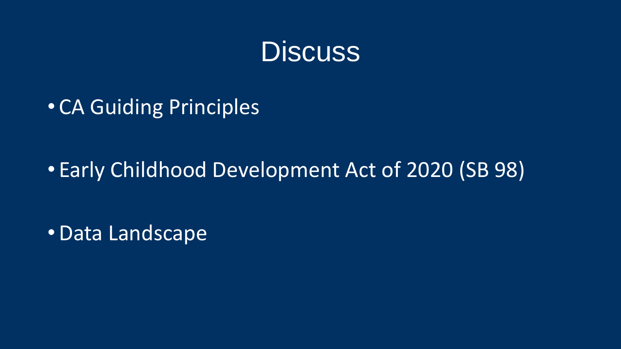

• CA Guiding Principles

• Early Childhood Development Act of 2020 (SB 98)

•Data Landscape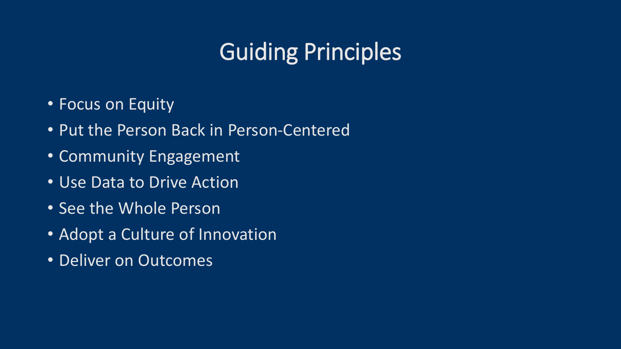### Guiding Principles

- Focus on Equity
- Put the Person Back in Person-Centered
- Community Engagement
- Use Data to Drive Action
- See the Whole Person
- Adopt a Culture of Innovation
- Deliver on Outcomes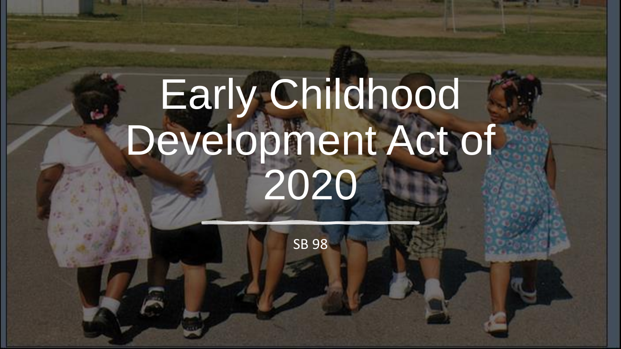# Early Childhood Development Act of 2020

SB 98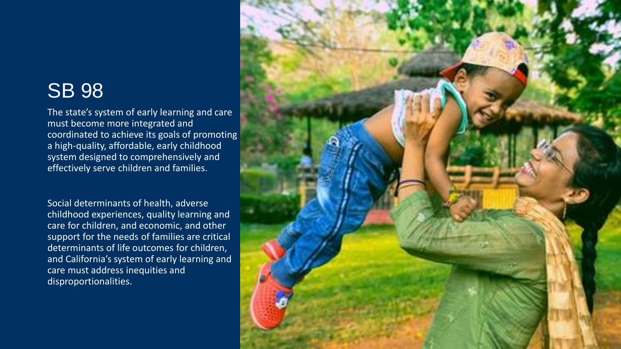#### SB 98

The state's system of early learning and care must become more integrated and coordinated to achieve its goals of promoting a high-quality, affordable, early childhood system designed to comprehensively and effectively serve children and families.

Social determinants of health, adverse childhood experiences, quality learning and care for children, and economic, and other support for the needs of families are critical determinants of life outcomes for children, and California's system of early learning and care must address inequities and disproportionalities.

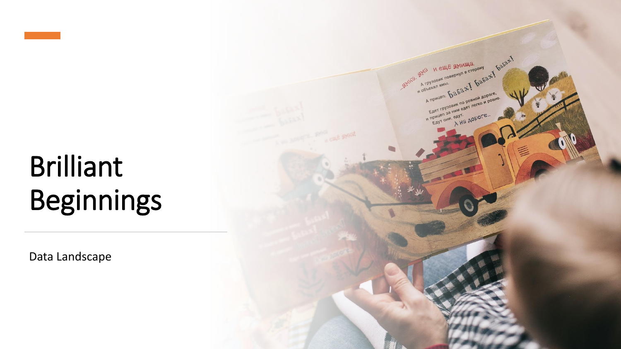## Brilliant Beginnings

Data Landscape

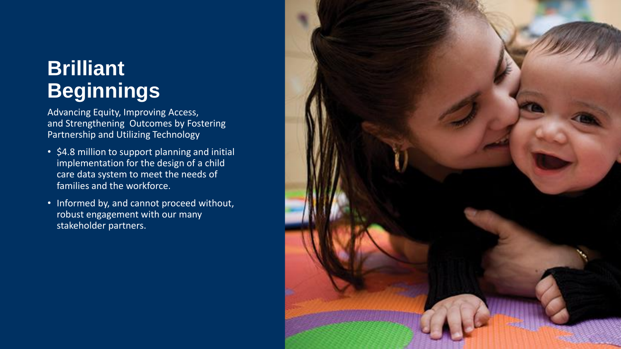### **Brilliant Beginnings**

Advancing Equity, Improving Access, and Strengthening Outcomes by Fostering Partnership and Utilizing Technology

- \$4.8 million to support planning and initial implementation for the design of a child care data system to meet the needs of families and the workforce.
- Informed by, and cannot proceed without, robust engagement with our many stakeholder partners.

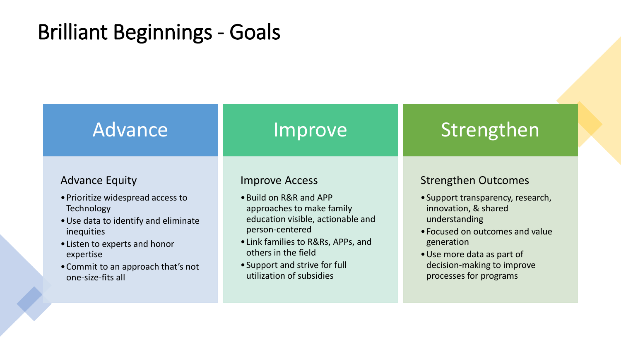### Brilliant Beginnings - Goals

| Advance                              | Improve                            | Strengthen                        |
|--------------------------------------|------------------------------------|-----------------------------------|
| <b>Advance Equity</b>                | <b>Improve Access</b>              | <b>Strengthen Outcomes</b>        |
| • Prioritize widespread access to    | • Build on R&R and APP             | • Support transparency, research, |
| Technology                           | approaches to make family          | innovation, & shared              |
| • Use data to identify and eliminate | education visible, actionable and  | understanding                     |
| inequities                           | person-centered                    | • Focused on outcomes and value   |
| • Listen to experts and honor        | • Link families to R&Rs, APPs, and | generation                        |
| expertise                            | others in the field                | • Use more data as part of        |
| • Commit to an approach that's not   | • Support and strive for full      | decision-making to improve        |
| one-size-fits all                    | utilization of subsidies           | processes for programs            |